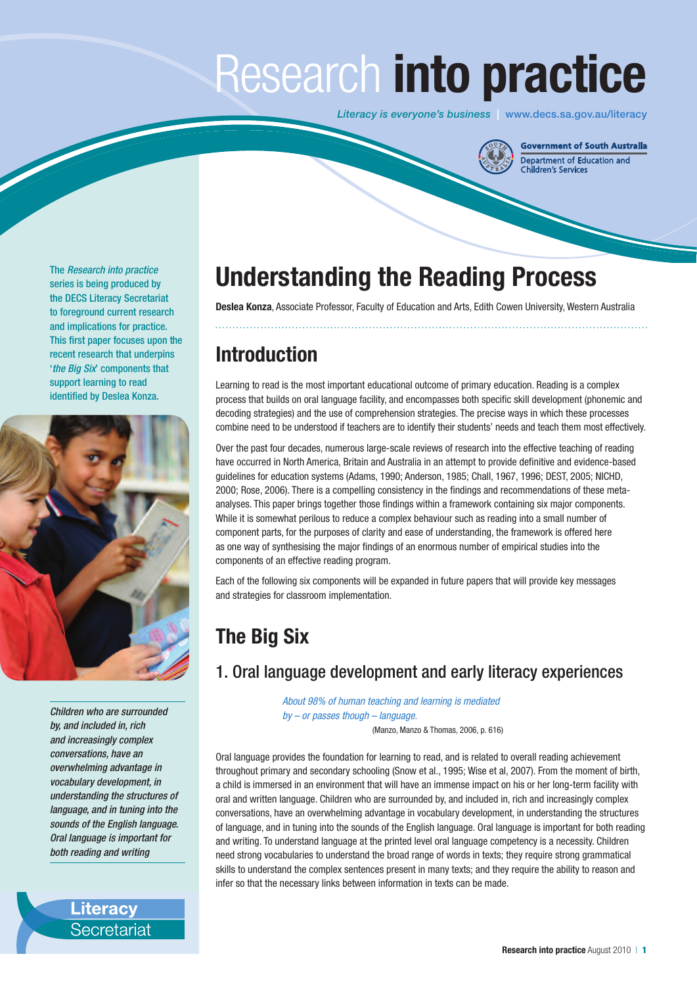# Research **into practice**

*Literacy is everyone's business* | www.decs.sa.gov.au/literacy



Government of South Australia Department of Education and<br>Children's Services

The *Research into practice* series is being produced by the DECS Literacy Secretariat to foreground current research and implications for practice. This first paper focuses upon the recent research that underpins '*the Big Six*' components that support learning to read identified by Deslea Konza.



*Children who are surrounded by, and included in, rich and increasingly complex conversations, have an overwhelming advantage in vocabulary development, in understanding the structures of language, and in tuning into the sounds of the English language. Oral language is important for both reading and writing*

> **Literacy** Secretariat

# **Understanding the Reading Process**

**Deslea Konza**, Associate Professor, Faculty of Education and Arts, Edith Cowen University, Western Australia

# **Introduction**

Learning to read is the most important educational outcome of primary education. Reading is a complex process that builds on oral language facility, and encompasses both specific skill development (phonemic and decoding strategies) and the use of comprehension strategies. The precise ways in which these processes combine need to be understood if teachers are to identify their students' needs and teach them most effectively.

Over the past four decades, numerous large-scale reviews of research into the effective teaching of reading have occurred in North America, Britain and Australia in an attempt to provide definitive and evidence-based guidelines for education systems (Adams, 1990; Anderson, 1985; Chall, 1967, 1996; DEST, 2005; NICHD, 2000; Rose, 2006). There is a compelling consistency in the findings and recommendations of these metaanalyses. This paper brings together those findings within a framework containing six major components. While it is somewhat perilous to reduce a complex behaviour such as reading into a small number of component parts, for the purposes of clarity and ease of understanding, the framework is offered here as one way of synthesising the major findings of an enormous number of empirical studies into the components of an effective reading program.

Each of the following six components will be expanded in future papers that will provide key messages and strategies for classroom implementation.

# **The Big Six**

# 1. Oral language development and early literacy experiences

*About 98% of human teaching and learning is mediated by – or passes though – language.*

(Manzo, Manzo & Thomas, 2006, p. 616)

Oral language provides the foundation for learning to read, and is related to overall reading achievement throughout primary and secondary schooling (Snow et al., 1995; Wise et al, 2007). From the moment of birth, a child is immersed in an environment that will have an immense impact on his or her long-term facility with oral and written language. Children who are surrounded by, and included in, rich and increasingly complex conversations, have an overwhelming advantage in vocabulary development, in understanding the structures of language, and in tuning into the sounds of the English language. Oral language is important for both reading and writing. To understand language at the printed level oral language competency is a necessity. Children need strong vocabularies to understand the broad range of words in texts; they require strong grammatical skills to understand the complex sentences present in many texts; and they require the ability to reason and infer so that the necessary links between information in texts can be made.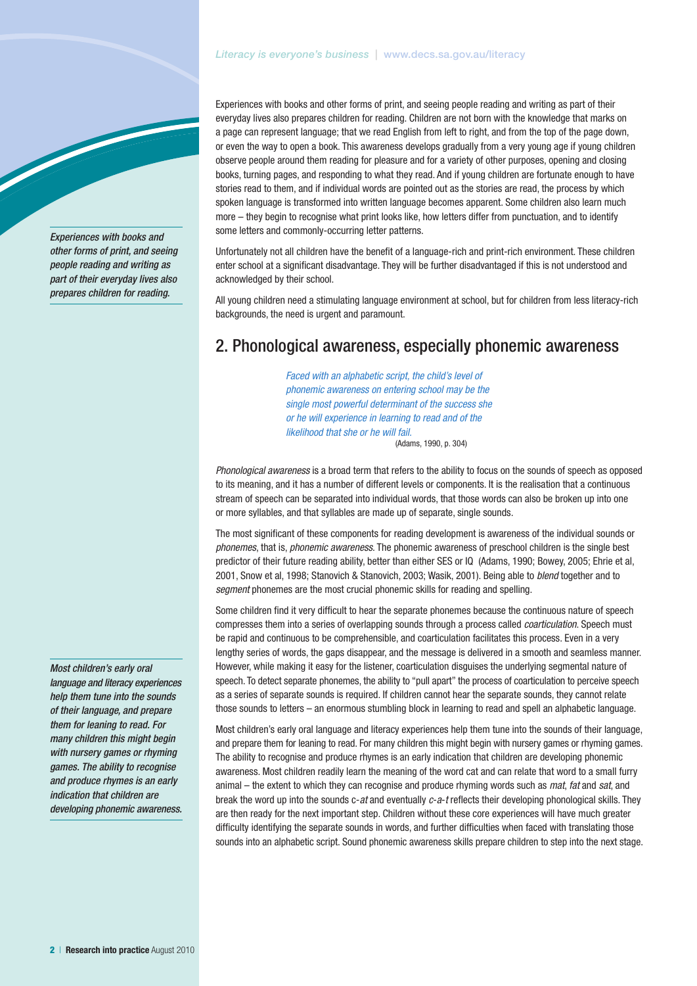#### *Literacy is everyone's business* | www.decs.sa.gov.au/literacy

Experiences with books and other forms of print, and seeing people reading and writing as part of their everyday lives also prepares children for reading. Children are not born with the knowledge that marks on a page can represent language; that we read English from left to right, and from the top of the page down, or even the way to open a book. This awareness develops gradually from a very young age if young children observe people around them reading for pleasure and for a variety of other purposes, opening and closing books, turning pages, and responding to what they read. And if young children are fortunate enough to have stories read to them, and if individual words are pointed out as the stories are read, the process by which spoken language is transformed into written language becomes apparent. Some children also learn much more – they begin to recognise what print looks like, how letters differ from punctuation, and to identify some letters and commonly-occurring letter patterns.

Unfortunately not all children have the benefit of a language-rich and print-rich environment. These children enter school at a significant disadvantage. They will be further disadvantaged if this is not understood and acknowledged by their school.

All young children need a stimulating language environment at school, but for children from less literacy-rich backgrounds, the need is urgent and paramount.

### 2. Phonological awareness, especially phonemic awareness

*Faced with an alphabetic script, the child's level of phonemic awareness on entering school may be the single most powerful determinant of the success she or he will experience in learning to read and of the likelihood that she or he will fail.* (Adams, 1990, p. 304)

*Phonological awareness* is a broad term that refers to the ability to focus on the sounds of speech as opposed to its meaning, and it has a number of different levels or components. It is the realisation that a continuous stream of speech can be separated into individual words, that those words can also be broken up into one or more syllables, and that syllables are made up of separate, single sounds.

The most significant of these components for reading development is awareness of the individual sounds or *phonemes*, that is, *phonemic awareness*. The phonemic awareness of preschool children is the single best predictor of their future reading ability, better than either SES or IQ (Adams, 1990; Bowey, 2005; Ehrie et al, 2001, Snow et al, 1998; Stanovich & Stanovich, 2003; Wasik, 2001). Being able to *blend* together and to *segment* phonemes are the most crucial phonemic skills for reading and spelling.

Some children find it very difficult to hear the separate phonemes because the continuous nature of speech compresses them into a series of overlapping sounds through a process called *coarticulation*. Speech must be rapid and continuous to be comprehensible, and coarticulation facilitates this process. Even in a very lengthy series of words, the gaps disappear, and the message is delivered in a smooth and seamless manner. However, while making it easy for the listener, coarticulation disguises the underlying segmental nature of speech. To detect separate phonemes, the ability to "pull apart" the process of coarticulation to perceive speech as a series of separate sounds is required. If children cannot hear the separate sounds, they cannot relate those sounds to letters – an enormous stumbling block in learning to read and spell an alphabetic language.

Most children's early oral language and literacy experiences help them tune into the sounds of their language, and prepare them for leaning to read. For many children this might begin with nursery games or rhyming games. The ability to recognise and produce rhymes is an early indication that children are developing phonemic awareness. Most children readily learn the meaning of the word cat and can relate that word to a small furry animal – the extent to which they can recognise and produce rhyming words such as *mat*, *fat* and *sat*, and break the word up into the sounds c-*at* and eventually *c*-*a*-*t* reflects their developing phonological skills. They are then ready for the next important step. Children without these core experiences will have much greater difficulty identifying the separate sounds in words, and further difficulties when faced with translating those sounds into an alphabetic script. Sound phonemic awareness skills prepare children to step into the next stage.

*Most children's early oral language and literacy experiences help them tune into the sounds of their language, and prepare them for leaning to read. For many children this might begin with nursery games or rhyming games. The ability to recognise and produce rhymes is an early indication that children are developing phonemic awareness.* 

*Experiences with books and other forms of print, and seeing people reading and writing as part of their everyday lives also prepares children for reading.*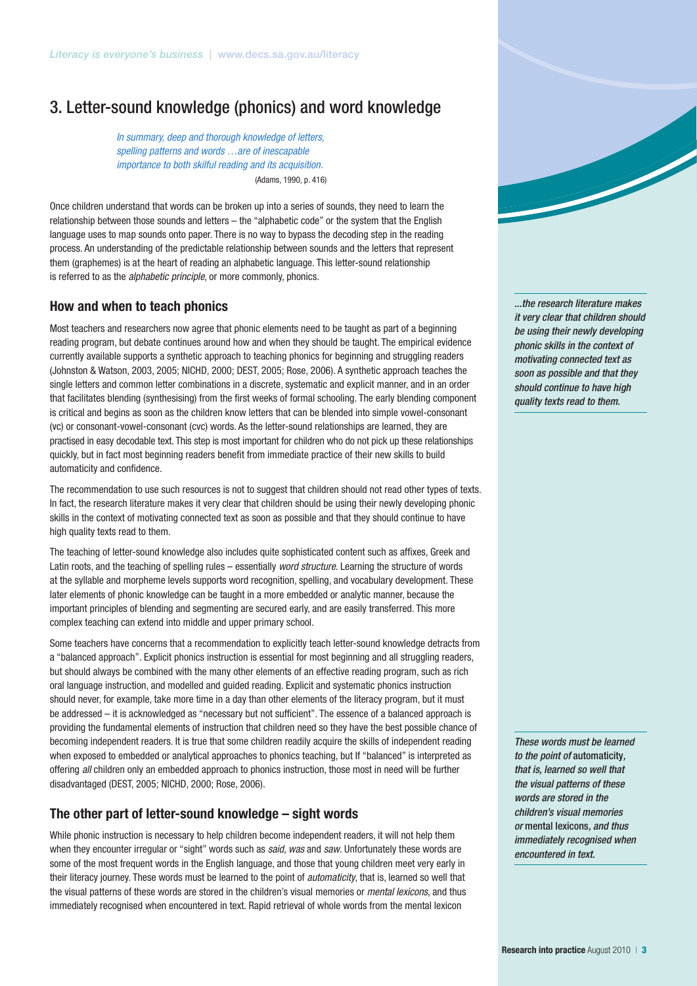# 3. Letter-sound knowledge (phonics) and word knowledge

*In summary, deep and thorough knowledge of letters, spelling patterns and words …are of inescapable importance to both skilful reading and its acquisition.* (Adams, 1990, p. 416)

Once children understand that words can be broken up into a series of sounds, they need to learn the relationship between those sounds and letters – the "alphabetic code" or the system that the English language uses to map sounds onto paper. There is no way to bypass the decoding step in the reading process. An understanding of the predictable relationship between sounds and the letters that represent them (graphemes) is at the heart of reading an alphabetic language. This letter-sound relationship is referred to as the *alphabetic principle*, or more commonly, phonics.

#### **How and when to teach phonics**

Most teachers and researchers now agree that phonic elements need to be taught as part of a beginning reading program, but debate continues around how and when they should be taught. The empirical evidence currently available supports a synthetic approach to teaching phonics for beginning and struggling readers (Johnston & Watson, 2003, 2005; NICHD, 2000; DEST, 2005; Rose, 2006). A synthetic approach teaches the single letters and common letter combinations in a discrete, systematic and explicit manner, and in an order that facilitates blending (synthesising) from the first weeks of formal schooling. The early blending component is critical and begins as soon as the children know letters that can be blended into simple vowel-consonant (vc) or consonant-vowel-consonant (cvc) words. As the letter-sound relationships are learned, they are practised in easy decodable text. This step is most important for children who do not pick up these relationships quickly, but in fact most beginning readers benefit from immediate practice of their new skills to build automaticity and confidence.

The recommendation to use such resources is not to suggest that children should not read other types of texts. In fact, the research literature makes it very clear that children should be using their newly developing phonic skills in the context of motivating connected text as soon as possible and that they should continue to have high quality texts read to them.

The teaching of letter-sound knowledge also includes quite sophisticated content such as affixes, Greek and Latin roots, and the teaching of spelling rules – essentially *word structure*. Learning the structure of words at the syllable and morpheme levels supports word recognition, spelling, and vocabulary development. These later elements of phonic knowledge can be taught in a more embedded or analytic manner, because the important principles of blending and segmenting are secured early, and are easily transferred. This more complex teaching can extend into middle and upper primary school.

Some teachers have concerns that a recommendation to explicitly teach letter-sound knowledge detracts from a "balanced approach". Explicit phonics instruction is essential for most beginning and all struggling readers, but should always be combined with the many other elements of an effective reading program, such as rich oral language instruction, and modelled and guided reading. Explicit and systematic phonics instruction should never, for example, take more time in a day than other elements of the literacy program, but it must be addressed – it is acknowledged as "necessary but not sufficient". The essence of a balanced approach is providing the fundamental elements of instruction that children need so they have the best possible chance of becoming independent readers. It is true that some children readily acquire the skills of independent reading when exposed to embedded or analytical approaches to phonics teaching, but If "balanced" is interpreted as offering *all* children only an embedded approach to phonics instruction, those most in need will be further disadvantaged (DEST, 2005; NICHD, 2000; Rose, 2006).

#### **The other part of letter-sound knowledge – sight words**

While phonic instruction is necessary to help children become independent readers, it will not help them when they encounter irregular or "sight" words such as *said*, *was* and *saw*. Unfortunately these words are some of the most frequent words in the English language, and those that young children meet very early in their literacy journey. These words must be learned to the point of *automaticity*, that is, learned so well that the visual patterns of these words are stored in the children's visual memories or *mental lexicons*, and thus immediately recognised when encountered in text. Rapid retrieval of whole words from the mental lexicon



*These words must be learned to the point of* automaticity*, that is, learned so well that the visual patterns of these words are stored in the children's visual memories or* mental lexicons*, and thus immediately recognised when encountered in text.*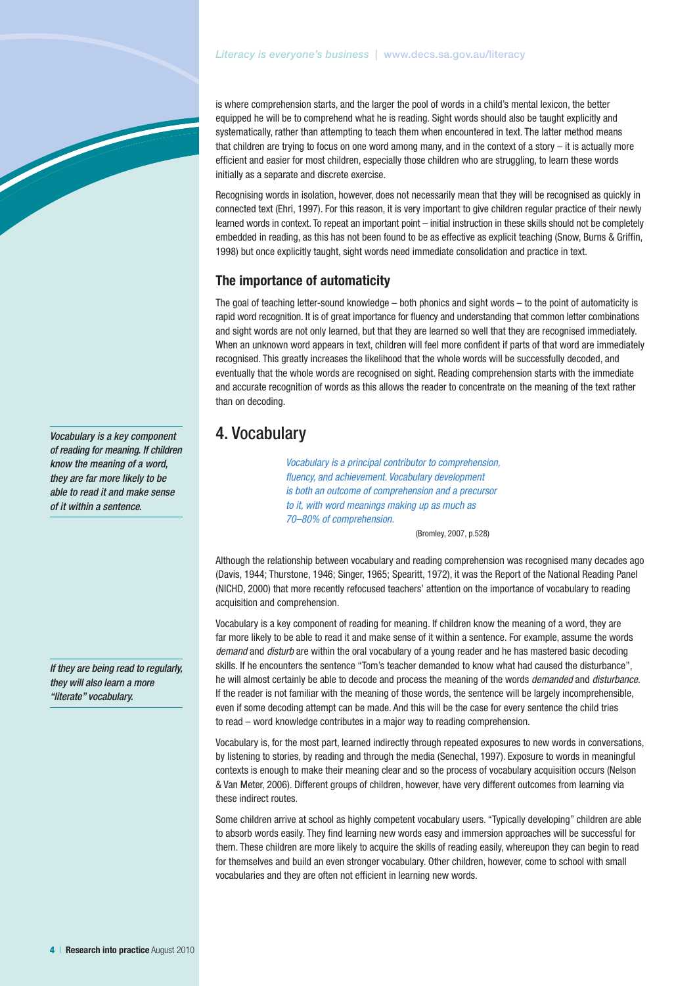is where comprehension starts, and the larger the pool of words in a child's mental lexicon, the better equipped he will be to comprehend what he is reading. Sight words should also be taught explicitly and systematically, rather than attempting to teach them when encountered in text. The latter method means that children are trying to focus on one word among many, and in the context of a story – it is actually more efficient and easier for most children, especially those children who are struggling, to learn these words initially as a separate and discrete exercise.

Recognising words in isolation, however, does not necessarily mean that they will be recognised as quickly in connected text (Ehri, 1997). For this reason, it is very important to give children regular practice of their newly learned words in context. To repeat an important point – initial instruction in these skills should not be completely embedded in reading, as this has not been found to be as effective as explicit teaching (Snow, Burns & Griffin, 1998) but once explicitly taught, sight words need immediate consolidation and practice in text.

#### **The importance of automaticity**

The goal of teaching letter-sound knowledge – both phonics and sight words – to the point of automaticity is rapid word recognition. It is of great importance for fluency and understanding that common letter combinations and sight words are not only learned, but that they are learned so well that they are recognised immediately. When an unknown word appears in text, children will feel more confident if parts of that word are immediately recognised. This greatly increases the likelihood that the whole words will be successfully decoded, and eventually that the whole words are recognised on sight. Reading comprehension starts with the immediate and accurate recognition of words as this allows the reader to concentrate on the meaning of the text rather than on decoding.

## 4. Vocabulary

*Vocabulary is a principal contributor to comprehension, fluency, and achievement. Vocabulary development is both an outcome of comprehension and a precursor to it, with word meanings making up as much as 70–80% of comprehension.*

(Bromley, 2007, p.528)

Although the relationship between vocabulary and reading comprehension was recognised many decades ago (Davis, 1944; Thurstone, 1946; Singer, 1965; Spearitt, 1972), it was the Report of the National Reading Panel (NICHD, 2000) that more recently refocused teachers' attention on the importance of vocabulary to reading acquisition and comprehension.

Vocabulary is a key component of reading for meaning. If children know the meaning of a word, they are far more likely to be able to read it and make sense of it within a sentence. For example, assume the words *demand* and *disturb* are within the oral vocabulary of a young reader and he has mastered basic decoding skills. If he encounters the sentence "Tom's teacher demanded to know what had caused the disturbance", he will almost certainly be able to decode and process the meaning of the words *demanded* and *disturbance*. If the reader is not familiar with the meaning of those words, the sentence will be largely incomprehensible, even if some decoding attempt can be made. And this will be the case for every sentence the child tries to read – word knowledge contributes in a major way to reading comprehension.

Vocabulary is, for the most part, learned indirectly through repeated exposures to new words in conversations, by listening to stories, by reading and through the media (Senechal, 1997). Exposure to words in meaningful contexts is enough to make their meaning clear and so the process of vocabulary acquisition occurs (Nelson & Van Meter, 2006). Different groups of children, however, have very different outcomes from learning via these indirect routes.

Some children arrive at school as highly competent vocabulary users. "Typically developing" children are able to absorb words easily. They find learning new words easy and immersion approaches will be successful for them. These children are more likely to acquire the skills of reading easily, whereupon they can begin to read for themselves and build an even stronger vocabulary. Other children, however, come to school with small vocabularies and they are often not efficient in learning new words.

*Vocabulary is a key component of reading for meaning. If children know the meaning of a word, they are far more likely to be able to read it and make sense of it within a sentence.* 

*If they are being read to regularly, they will also learn a more "literate" vocabulary.*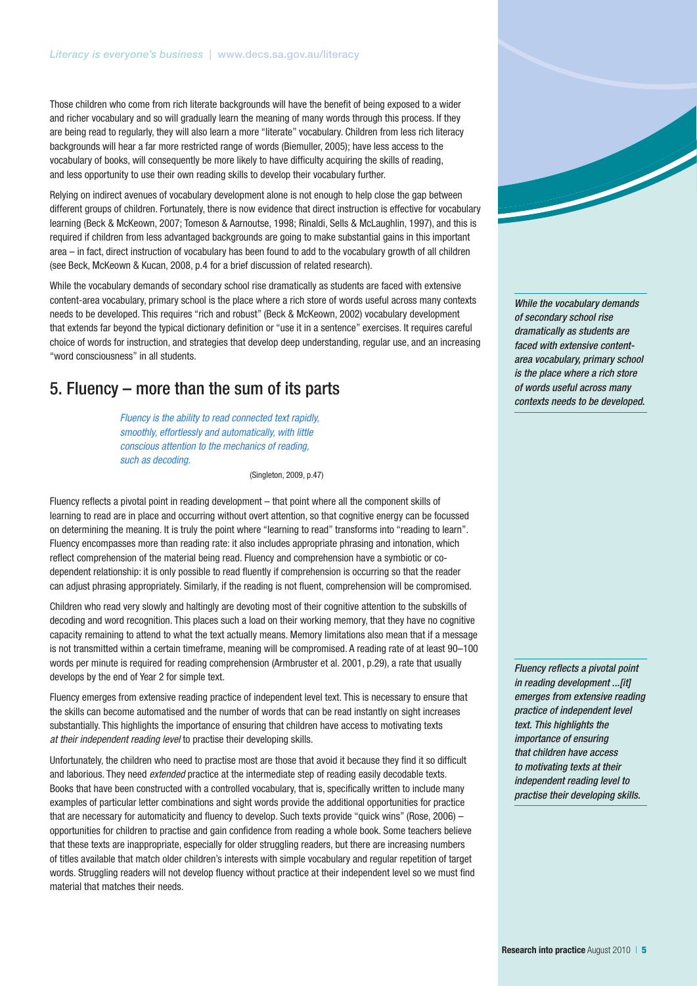Those children who come from rich literate backgrounds will have the benefit of being exposed to a wider and richer vocabulary and so will gradually learn the meaning of many words through this process. If they are being read to regularly, they will also learn a more "literate" vocabulary. Children from less rich literacy backgrounds will hear a far more restricted range of words (Biemuller, 2005); have less access to the vocabulary of books, will consequently be more likely to have difficulty acquiring the skills of reading, and less opportunity to use their own reading skills to develop their vocabulary further.

Relying on indirect avenues of vocabulary development alone is not enough to help close the gap between different groups of children. Fortunately, there is now evidence that direct instruction is effective for vocabulary learning (Beck & McKeown, 2007; Tomeson & Aarnoutse, 1998; Rinaldi, Sells & McLaughlin, 1997), and this is required if children from less advantaged backgrounds are going to make substantial gains in this important area – in fact, direct instruction of vocabulary has been found to add to the vocabulary growth of all children (see Beck, McKeown & Kucan, 2008, p.4 for a brief discussion of related research).

While the vocabulary demands of secondary school rise dramatically as students are faced with extensive content-area vocabulary, primary school is the place where a rich store of words useful across many contexts needs to be developed. This requires "rich and robust" (Beck & McKeown, 2002) vocabulary development that extends far beyond the typical dictionary definition or "use it in a sentence" exercises. It requires careful choice of words for instruction, and strategies that develop deep understanding, regular use, and an increasing "word consciousness" in all students.

## 5. Fluency – more than the sum of its parts

*Fluency is the ability to read connected text rapidly, smoothly, effortlessly and automatically, with little conscious attention to the mechanics of reading, such as decoding.*

(Singleton, 2009, p.47)

Fluency reflects a pivotal point in reading development – that point where all the component skills of learning to read are in place and occurring without overt attention, so that cognitive energy can be focussed on determining the meaning. It is truly the point where "learning to read" transforms into "reading to learn". Fluency encompasses more than reading rate: it also includes appropriate phrasing and intonation, which reflect comprehension of the material being read. Fluency and comprehension have a symbiotic or codependent relationship: it is only possible to read fluently if comprehension is occurring so that the reader can adjust phrasing appropriately. Similarly, if the reading is not fluent, comprehension will be compromised.

Children who read very slowly and haltingly are devoting most of their cognitive attention to the subskills of decoding and word recognition. This places such a load on their working memory, that they have no cognitive capacity remaining to attend to what the text actually means. Memory limitations also mean that if a message is not transmitted within a certain timeframe, meaning will be compromised. A reading rate of at least 90–100 words per minute is required for reading comprehension (Armbruster et al. 2001, p.29), a rate that usually develops by the end of Year 2 for simple text.

Fluency emerges from extensive reading practice of independent level text. This is necessary to ensure that the skills can become automatised and the number of words that can be read instantly on sight increases substantially. This highlights the importance of ensuring that children have access to motivating texts *at their independent reading level* to practise their developing skills.

Unfortunately, the children who need to practise most are those that avoid it because they find it so difficult and laborious. They need *extended* practice at the intermediate step of reading easily decodable texts. Books that have been constructed with a controlled vocabulary, that is, specifically written to include many examples of particular letter combinations and sight words provide the additional opportunities for practice that are necessary for automaticity and fluency to develop. Such texts provide "quick wins" (Rose, 2006) – opportunities for children to practise and gain confidence from reading a whole book. Some teachers believe that these texts are inappropriate, especially for older struggling readers, but there are increasing numbers of titles available that match older children's interests with simple vocabulary and regular repetition of target words. Struggling readers will not develop fluency without practice at their independent level so we must find material that matches their needs.



*Fluency reflects a pivotal point in reading development ...[it] emerges from extensive reading practice of independent level text. This highlights the importance of ensuring that children have access to motivating texts at their independent reading level to practise their developing skills.*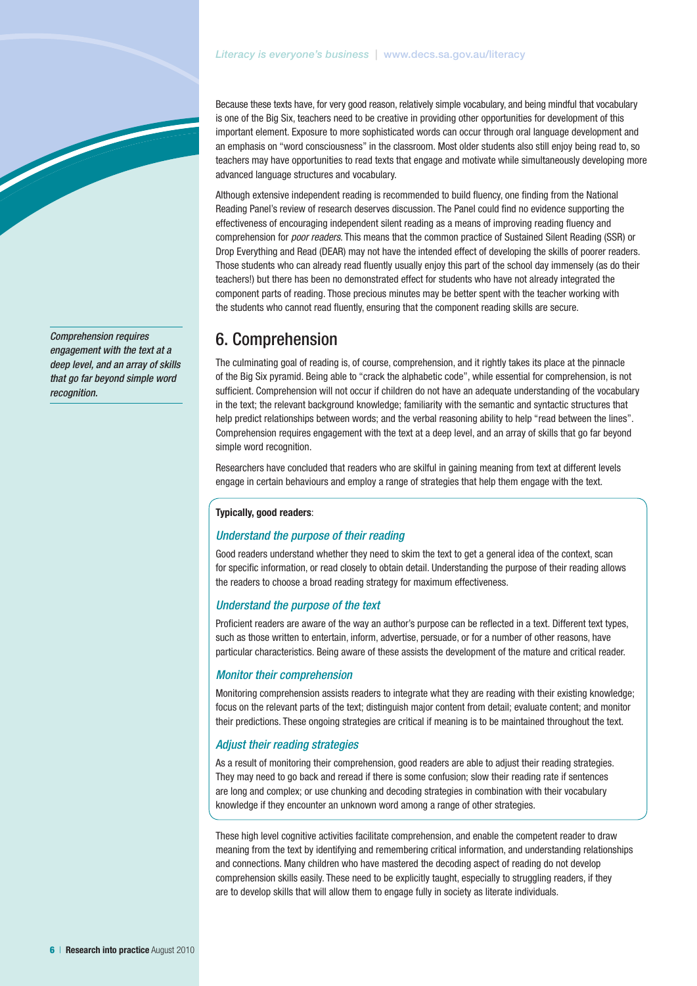#### *Literacy is everyone's business* | www.decs.sa.gov.au/literacy

Because these texts have, for very good reason, relatively simple vocabulary, and being mindful that vocabulary is one of the Big Six, teachers need to be creative in providing other opportunities for development of this important element. Exposure to more sophisticated words can occur through oral language development and an emphasis on "word consciousness" in the classroom. Most older students also still enjoy being read to, so teachers may have opportunities to read texts that engage and motivate while simultaneously developing more advanced language structures and vocabulary.

Although extensive independent reading is recommended to build fluency, one finding from the National Reading Panel's review of research deserves discussion. The Panel could find no evidence supporting the effectiveness of encouraging independent silent reading as a means of improving reading fluency and comprehension for *poor readers*. This means that the common practice of Sustained Silent Reading (SSR) or Drop Everything and Read (DEAR) may not have the intended effect of developing the skills of poorer readers. Those students who can already read fluently usually enjoy this part of the school day immensely (as do their teachers!) but there has been no demonstrated effect for students who have not already integrated the component parts of reading. Those precious minutes may be better spent with the teacher working with the students who cannot read fluently, ensuring that the component reading skills are secure.

## 6. Comprehension

The culminating goal of reading is, of course, comprehension, and it rightly takes its place at the pinnacle of the Big Six pyramid. Being able to "crack the alphabetic code", while essential for comprehension, is not sufficient. Comprehension will not occur if children do not have an adequate understanding of the vocabulary in the text; the relevant background knowledge; familiarity with the semantic and syntactic structures that help predict relationships between words; and the verbal reasoning ability to help "read between the lines". Comprehension requires engagement with the text at a deep level, and an array of skills that go far beyond simple word recognition.

Researchers have concluded that readers who are skilful in gaining meaning from text at different levels engage in certain behaviours and employ a range of strategies that help them engage with the text.

#### **Typically, good readers**:

#### *Understand the purpose of their reading*

Good readers understand whether they need to skim the text to get a general idea of the context, scan for specific information, or read closely to obtain detail. Understanding the purpose of their reading allows the readers to choose a broad reading strategy for maximum effectiveness.

#### *Understand the purpose of the text*

Proficient readers are aware of the way an author's purpose can be reflected in a text. Different text types, such as those written to entertain, inform, advertise, persuade, or for a number of other reasons, have particular characteristics. Being aware of these assists the development of the mature and critical reader.

#### *Monitor their comprehension*

Monitoring comprehension assists readers to integrate what they are reading with their existing knowledge; focus on the relevant parts of the text; distinguish major content from detail; evaluate content; and monitor their predictions. These ongoing strategies are critical if meaning is to be maintained throughout the text.

#### *Adjust their reading strategies*

As a result of monitoring their comprehension, good readers are able to adjust their reading strategies. They may need to go back and reread if there is some confusion; slow their reading rate if sentences are long and complex; or use chunking and decoding strategies in combination with their vocabulary knowledge if they encounter an unknown word among a range of other strategies.

These high level cognitive activities facilitate comprehension, and enable the competent reader to draw meaning from the text by identifying and remembering critical information, and understanding relationships and connections. Many children who have mastered the decoding aspect of reading do not develop comprehension skills easily. These need to be explicitly taught, especially to struggling readers, if they are to develop skills that will allow them to engage fully in society as literate individuals.

*Comprehension requires engagement with the text at a deep level, and an array of skills that go far beyond simple word recognition.*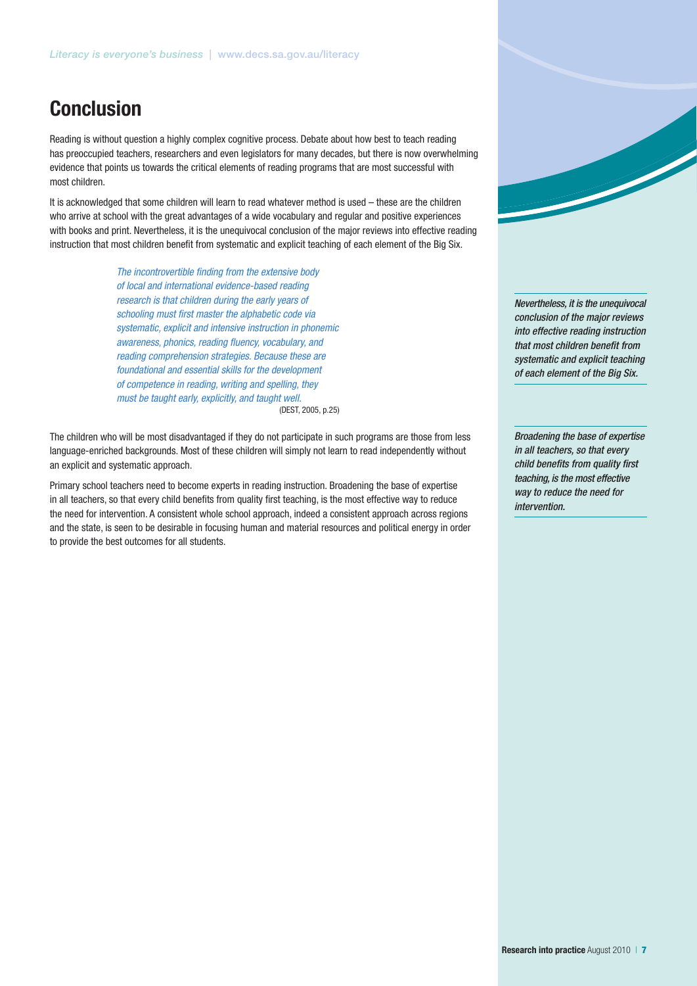# **Conclusion**

Reading is without question a highly complex cognitive process. Debate about how best to teach reading has preoccupied teachers, researchers and even legislators for many decades, but there is now overwhelming evidence that points us towards the critical elements of reading programs that are most successful with most children.

It is acknowledged that some children will learn to read whatever method is used – these are the children who arrive at school with the great advantages of a wide vocabulary and regular and positive experiences with books and print. Nevertheless, it is the unequivocal conclusion of the major reviews into effective reading instruction that most children benefit from systematic and explicit teaching of each element of the Big Six.

> *The incontrovertible finding from the extensive body of local and international evidence-based reading research is that children during the early years of schooling must first master the alphabetic code via systematic, explicit and intensive instruction in phonemic awareness, phonics, reading fluency, vocabulary, and reading comprehension strategies. Because these are foundational and essential skills for the development of competence in reading, writing and spelling, they must be taught early, explicitly, and taught well.* (DEST, 2005, p.25)

The children who will be most disadvantaged if they do not participate in such programs are those from less language-enriched backgrounds. Most of these children will simply not learn to read independently without an explicit and systematic approach.

Primary school teachers need to become experts in reading instruction. Broadening the base of expertise in all teachers, so that every child benefits from quality first teaching, is the most effective way to reduce the need for intervention. A consistent whole school approach, indeed a consistent approach across regions and the state, is seen to be desirable in focusing human and material resources and political energy in order to provide the best outcomes for all students.

*Nevertheless, it is the unequivocal conclusion of the major reviews into effective reading instruction that most children benefit from systematic and explicit teaching of each element of the Big Six.* 

*Broadening the base of expertise in all teachers, so that every child benefits from quality first teaching, is the most effective way to reduce the need for intervention.*